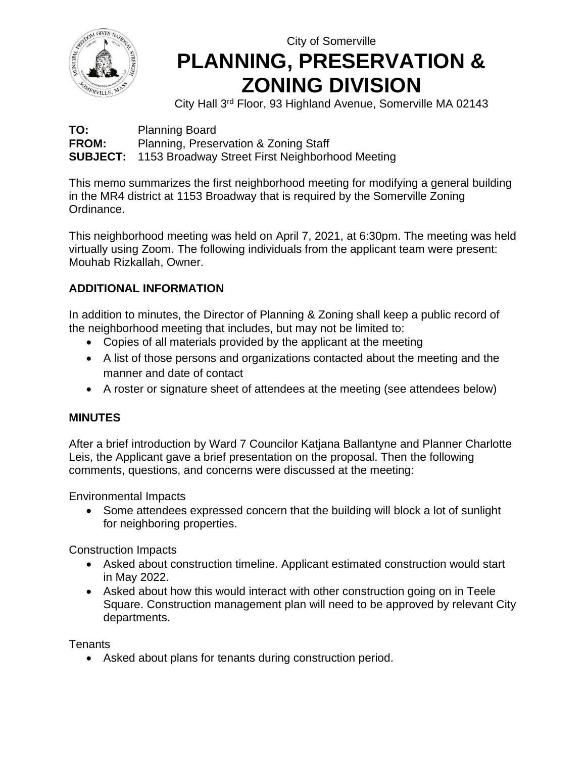

## City of Somerville **PLANNING, PRESERVATION & ZONING DIVISION**

City Hall 3rd Floor, 93 Highland Avenue, Somerville MA 02143

**TO:** Planning Board **FROM:** Planning, Preservation & Zoning Staff **SUBJECT:** 1153 Broadway Street First Neighborhood Meeting

This memo summarizes the first neighborhood meeting for modifying a general building in the MR4 district at 1153 Broadway that is required by the Somerville Zoning Ordinance.

This neighborhood meeting was held on April 7, 2021, at 6:30pm. The meeting was held virtually using Zoom. The following individuals from the applicant team were present: Mouhab Rizkallah, Owner.

## **ADDITIONAL INFORMATION**

In addition to minutes, the Director of Planning & Zoning shall keep a public record of the neighborhood meeting that includes, but may not be limited to:

- Copies of all materials provided by the applicant at the meeting
- A list of those persons and organizations contacted about the meeting and the manner and date of contact
- A roster or signature sheet of attendees at the meeting (see attendees below)

## **MINUTES**

After a brief introduction by Ward 7 Councilor Katjana Ballantyne and Planner Charlotte Leis, the Applicant gave a brief presentation on the proposal. Then the following comments, questions, and concerns were discussed at the meeting:

Environmental Impacts

• Some attendees expressed concern that the building will block a lot of sunlight for neighboring properties.

Construction Impacts

- Asked about construction timeline. Applicant estimated construction would start in May 2022.
- Asked about how this would interact with other construction going on in Teele Square. Construction management plan will need to be approved by relevant City departments.

Tenants

• Asked about plans for tenants during construction period.